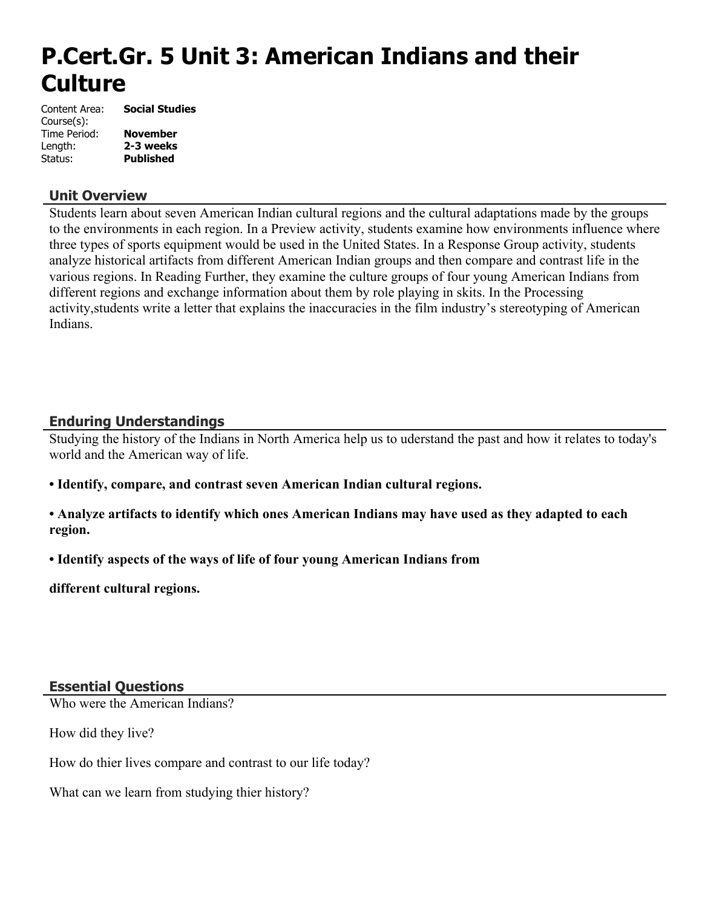# **P.Cert.Gr. 5 Unit 3: American Indians and their Culture**

| Content Area: | <b>Social Studies</b> |
|---------------|-----------------------|
| Course(s):    |                       |
| Time Period:  | <b>November</b>       |
| Length:       | 2-3 weeks             |
| Status:       | <b>Published</b>      |

#### **Unit Overview**

Students learn about seven American Indian cultural regions and the cultural adaptations made by the groups to the environments in each region. In a Preview activity, students examine how environments influence where three types of sports equipment would be used in the United States. In a Response Group activity, students analyze historical artifacts from different American Indian groups and then compare and contrast life in the various regions. In Reading Further, they examine the culture groups of four young American Indians from different regions and exchange information about them by role playing in skits. In the Processing activity,students write a letter that explains the inaccuracies in the film industry's stereotyping of American Indians.

#### **Enduring Understandings**

Studying the history of the Indians in North America help us to uderstand the past and how it relates to today's world and the American way of life.

**• Identify, compare, and contrast seven American Indian cultural regions.**

**• Analyze artifacts to identify which ones American Indians may have used as they adapted to each region.**

**• Identify aspects of the ways of life of four young American Indians from**

**different cultural regions.**

#### **Essential Questions**

Who were the American Indians?

How did they live?

How do thier lives compare and contrast to our life today?

What can we learn from studying thier history?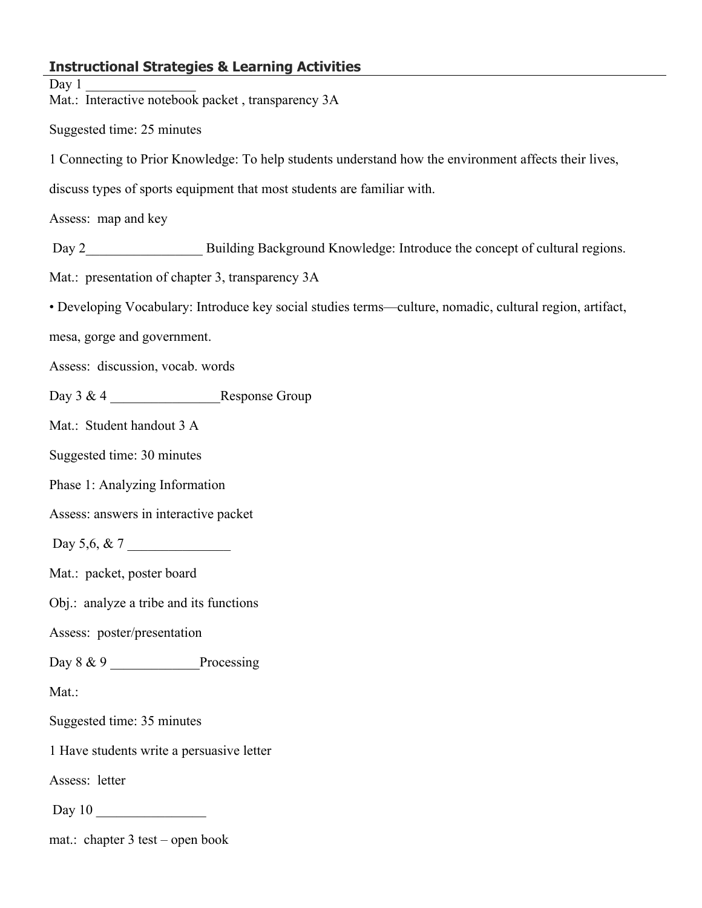### **Instructional Strategies & Learning Activities**

Day  $1$ Mat.: Interactive notebook packet , transparency 3A Suggested time: 25 minutes 1 Connecting to Prior Knowledge: To help students understand how the environment affects their lives, discuss types of sports equipment that most students are familiar with. Assess: map and key Day 2 Building Background Knowledge: Introduce the concept of cultural regions. Mat.: presentation of chapter 3, transparency 3A • Developing Vocabulary: Introduce key social studies terms—culture, nomadic, cultural region, artifact, mesa, gorge and government. Assess: discussion, vocab. words Day 3 & 4 \_\_\_\_\_\_\_\_\_\_\_\_\_\_\_\_Response Group Mat.: Student handout 3 A Suggested time: 30 minutes Phase 1: Analyzing Information Assess: answers in interactive packet Day 5,6, & 7 Mat.: packet, poster board Obj.: analyze a tribe and its functions Assess: poster/presentation Day 8 & 9 Processing Mat.: Suggested time: 35 minutes 1 Have students write a persuasive letter Assess: letter Day 10 \_\_\_\_\_\_\_\_\_\_\_\_\_\_\_\_ mat.: chapter 3 test – open book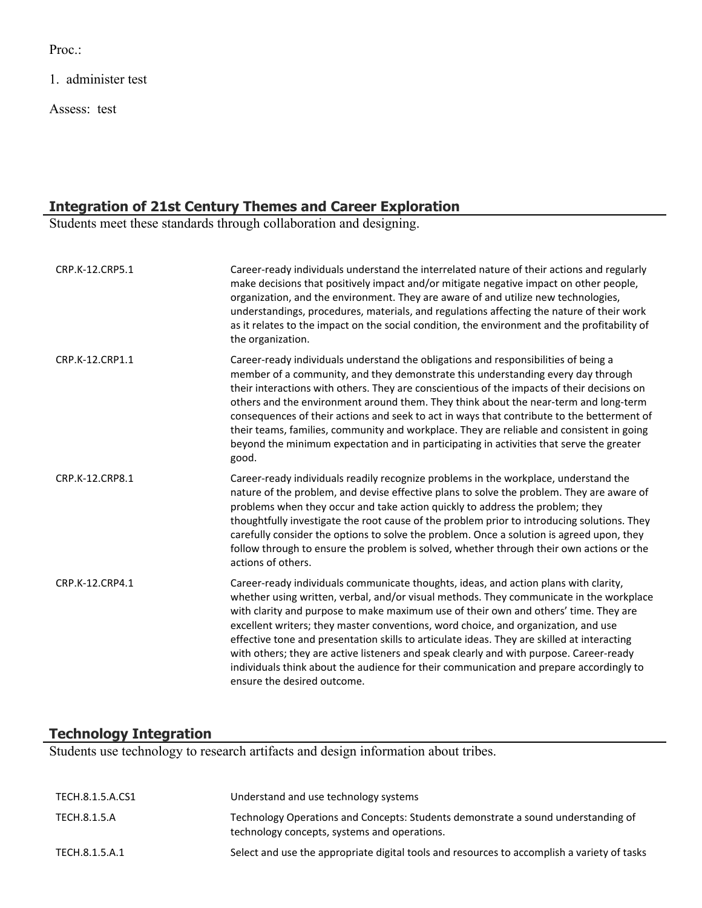Proc.:

1. administer test

Assess: test

#### **Integration of 21st Century Themes and Career Exploration**

Students meet these standards through collaboration and designing.

| CRP.K-12.CRP5.1 | Career-ready individuals understand the interrelated nature of their actions and regularly<br>make decisions that positively impact and/or mitigate negative impact on other people,<br>organization, and the environment. They are aware of and utilize new technologies,<br>understandings, procedures, materials, and regulations affecting the nature of their work<br>as it relates to the impact on the social condition, the environment and the profitability of<br>the organization.                                                                                                                                                                                     |
|-----------------|-----------------------------------------------------------------------------------------------------------------------------------------------------------------------------------------------------------------------------------------------------------------------------------------------------------------------------------------------------------------------------------------------------------------------------------------------------------------------------------------------------------------------------------------------------------------------------------------------------------------------------------------------------------------------------------|
| CRP.K-12.CRP1.1 | Career-ready individuals understand the obligations and responsibilities of being a<br>member of a community, and they demonstrate this understanding every day through<br>their interactions with others. They are conscientious of the impacts of their decisions on<br>others and the environment around them. They think about the near-term and long-term<br>consequences of their actions and seek to act in ways that contribute to the betterment of<br>their teams, families, community and workplace. They are reliable and consistent in going<br>beyond the minimum expectation and in participating in activities that serve the greater<br>good.                    |
| CRP.K-12.CRP8.1 | Career-ready individuals readily recognize problems in the workplace, understand the<br>nature of the problem, and devise effective plans to solve the problem. They are aware of<br>problems when they occur and take action quickly to address the problem; they<br>thoughtfully investigate the root cause of the problem prior to introducing solutions. They<br>carefully consider the options to solve the problem. Once a solution is agreed upon, they<br>follow through to ensure the problem is solved, whether through their own actions or the<br>actions of others.                                                                                                  |
| CRP.K-12.CRP4.1 | Career-ready individuals communicate thoughts, ideas, and action plans with clarity,<br>whether using written, verbal, and/or visual methods. They communicate in the workplace<br>with clarity and purpose to make maximum use of their own and others' time. They are<br>excellent writers; they master conventions, word choice, and organization, and use<br>effective tone and presentation skills to articulate ideas. They are skilled at interacting<br>with others; they are active listeners and speak clearly and with purpose. Career-ready<br>individuals think about the audience for their communication and prepare accordingly to<br>ensure the desired outcome. |

# **Technology Integration**

Students use technology to research artifacts and design information about tribes.

| TECH.8.1.5.A.CS1 | Understand and use technology systems                                                                                             |
|------------------|-----------------------------------------------------------------------------------------------------------------------------------|
| TECH.8.1.5.A     | Technology Operations and Concepts: Students demonstrate a sound understanding of<br>technology concepts, systems and operations. |
| TECH.8.1.5.A.1   | Select and use the appropriate digital tools and resources to accomplish a variety of tasks                                       |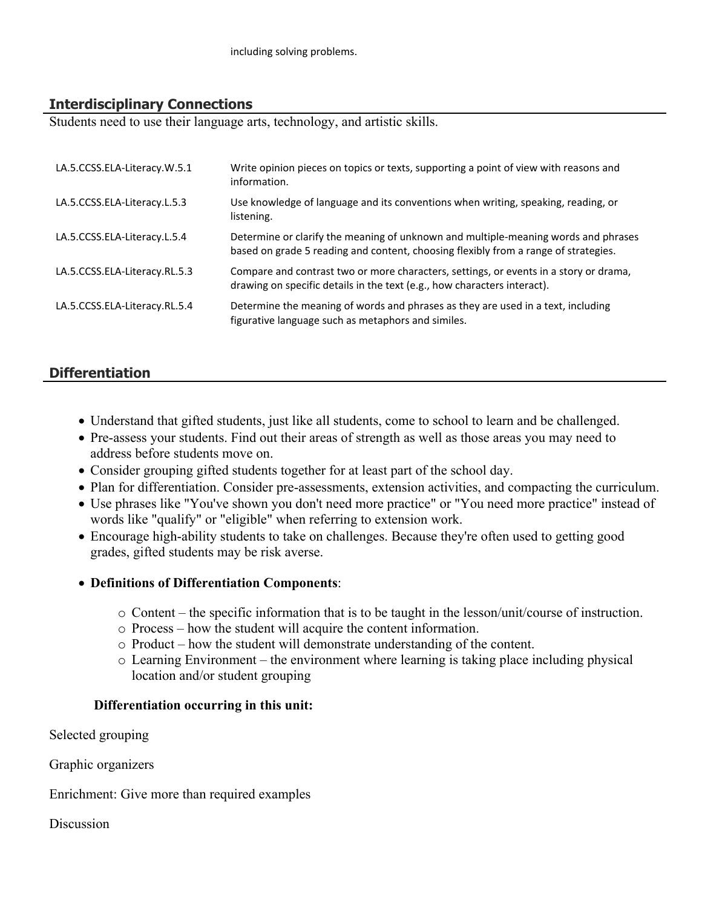## **Interdisciplinary Connections**

Students need to use their language arts, technology, and artistic skills.

| LA.5.CCSS.ELA-Literacy.W.5.1  | Write opinion pieces on topics or texts, supporting a point of view with reasons and<br>information.                                                                      |
|-------------------------------|---------------------------------------------------------------------------------------------------------------------------------------------------------------------------|
| LA.5.CCSS.ELA-Literacy.L.5.3  | Use knowledge of language and its conventions when writing, speaking, reading, or<br>listening.                                                                           |
| LA.5.CCSS.ELA-Literacy.L.5.4  | Determine or clarify the meaning of unknown and multiple-meaning words and phrases<br>based on grade 5 reading and content, choosing flexibly from a range of strategies. |
| LA.5.CCSS.ELA-Literacy.RL.5.3 | Compare and contrast two or more characters, settings, or events in a story or drama,<br>drawing on specific details in the text (e.g., how characters interact).         |
| LA.5.CCSS.ELA-Literacy.RL.5.4 | Determine the meaning of words and phrases as they are used in a text, including<br>figurative language such as metaphors and similes.                                    |

## **Differentiation**

- Understand that gifted students, just like all students, come to school to learn and be challenged.
- Pre-assess your students. Find out their areas of strength as well as those areas you may need to address before students move on.
- Consider grouping gifted students together for at least part of the school day.
- Plan for differentiation. Consider pre-assessments, extension activities, and compacting the curriculum.
- Use phrases like "You've shown you don't need more practice" or "You need more practice" instead of words like "qualify" or "eligible" when referring to extension work.
- Encourage high-ability students to take on challenges. Because they're often used to getting good grades, gifted students may be risk averse.
- **Definitions of Differentiation Components**:
	- $\circ$  Content the specific information that is to be taught in the lesson/unit/course of instruction.
	- o Process how the student will acquire the content information.
	- o Product how the student will demonstrate understanding of the content.
	- o Learning Environment the environment where learning is taking place including physical location and/or student grouping

#### **Differentiation occurring in this unit:**

Selected grouping

Graphic organizers

Enrichment: Give more than required examples

**Discussion**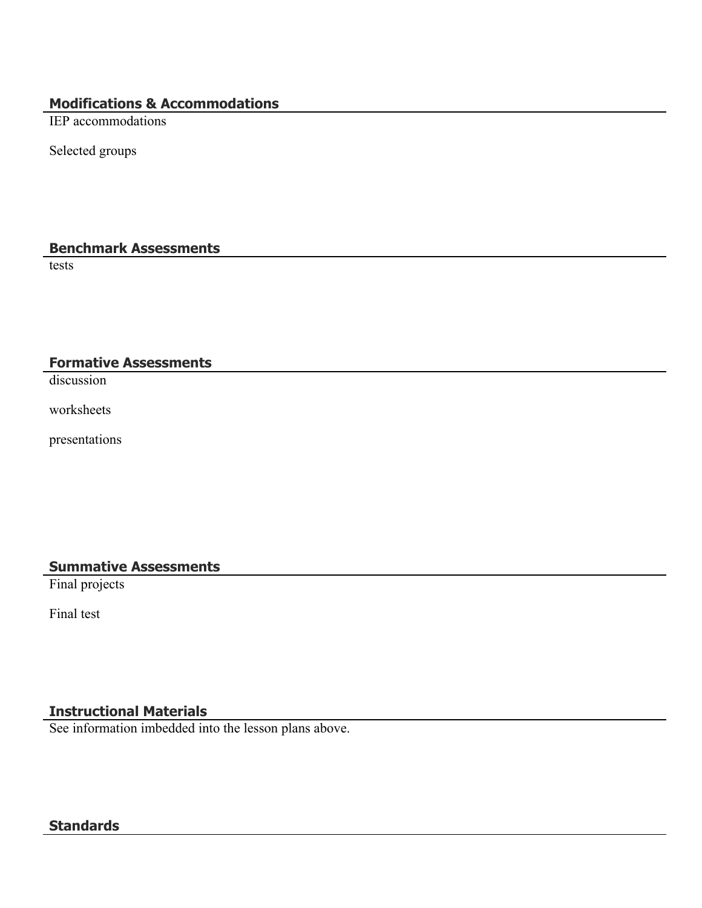# **Modifications & Accommodations**

IEP accommodations

Selected groups

# **Benchmark Assessments**

tests

## **Formative Assessments**

discussion

worksheets

presentations

#### **Summative Assessments**

Final projects

Final test

# **Instructional Materials**

See information imbedded into the lesson plans above.

### **Standards**